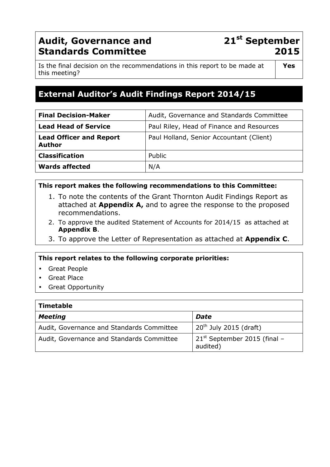# **Audit, Governance and Standards Committee**

# **21st September 2015**

Is the final decision on the recommendations in this report to be made at this meeting?

# **External Auditor's Audit Findings Report 2014/15**

| <b>Final Decision-Maker</b>                     | Audit, Governance and Standards Committee |
|-------------------------------------------------|-------------------------------------------|
| <b>Lead Head of Service</b>                     | Paul Riley, Head of Finance and Resources |
| <b>Lead Officer and Report</b><br><b>Author</b> | Paul Holland, Senior Accountant (Client)  |
| <b>Classification</b>                           | Public                                    |
| <b>Wards affected</b>                           | N/A                                       |

#### **This report makes the following recommendations to this Committee:**

- 1. To note the contents of the Grant Thornton Audit Findings Report as attached at **Appendix A,** and to agree the response to the proposed recommendations.
- 2. To approve the audited Statement of Accounts for 2014/15 as attached at **Appendix B**.
- 3. To approve the Letter of Representation as attached at **Appendix C**.

### **This report relates to the following corporate priorities:**

- Great People
- **Great Place**
- Great Opportunity

| <b>Timetable</b>                          |                                               |
|-------------------------------------------|-----------------------------------------------|
| <b>Meeting</b>                            | Date                                          |
| Audit, Governance and Standards Committee | $20th$ July 2015 (draft)                      |
| Audit, Governance and Standards Committee | $21^{st}$ September 2015 (final -<br>audited) |

**Yes**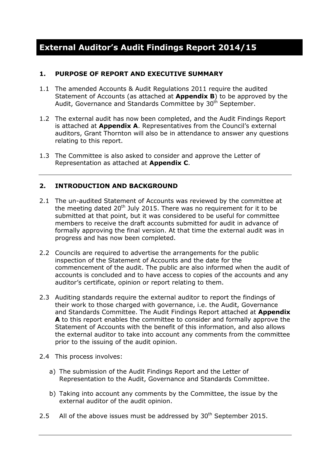#### **1. PURPOSE OF REPORT AND EXECUTIVE SUMMARY**

- 1.1 The amended Accounts & Audit Regulations 2011 require the audited Statement of Accounts (as attached at **Appendix B**) to be approved by the Audit, Governance and Standards Committee by 30<sup>th</sup> September.
- 1.2 The external audit has now been completed, and the Audit Findings Report is attached at **Appendix A**. Representatives from the Council's external auditors, Grant Thornton will also be in attendance to answer any questions relating to this report.
- 1.3 The Committee is also asked to consider and approve the Letter of Representation as attached at **Appendix C**.

### **2. INTRODUCTION AND BACKGROUND**

- 2.1 The un-audited Statement of Accounts was reviewed by the committee at the meeting dated  $20<sup>th</sup>$  July 2015. There was no requirement for it to be submitted at that point, but it was considered to be useful for committee members to receive the draft accounts submitted for audit in advance of formally approving the final version. At that time the external audit was in progress and has now been completed.
- 2.2 Councils are required to advertise the arrangements for the public inspection of the Statement of Accounts and the date for the commencement of the audit. The public are also informed when the audit of accounts is concluded and to have access to copies of the accounts and any auditor's certificate, opinion or report relating to them.
- 2.3 Auditing standards require the external auditor to report the findings of their work to those charged with governance, i.e. the Audit, Governance and Standards Committee. The Audit Findings Report attached at **Appendix A** to this report enables the committee to consider and formally approve the Statement of Accounts with the benefit of this information, and also allows the external auditor to take into account any comments from the committee prior to the issuing of the audit opinion.
- 2.4 This process involves:
	- a) The submission of the Audit Findings Report and the Letter of Representation to the Audit, Governance and Standards Committee.
	- b) Taking into account any comments by the Committee, the issue by the external auditor of the audit opinion.
- 2.5 All of the above issues must be addressed by  $30<sup>th</sup>$  September 2015.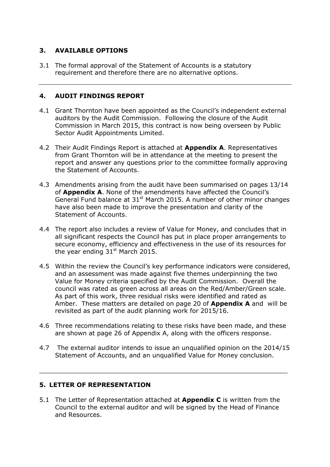### **3. AVAILABLE OPTIONS**

3.1 The formal approval of the Statement of Accounts is a statutory requirement and therefore there are no alternative options.

#### **4. AUDIT FINDINGS REPORT**

- 4.1 Grant Thornton have been appointed as the Council's independent external auditors by the Audit Commission. Following the closure of the Audit Commission in March 2015, this contract is now being overseen by Public Sector Audit Appointments Limited.
- 4.2 Their Audit Findings Report is attached at **Appendix A**. Representatives from Grant Thornton will be in attendance at the meeting to present the report and answer any questions prior to the committee formally approving the Statement of Accounts.
- 4.3 Amendments arising from the audit have been summarised on pages 13/14 of **Appendix A**. None of the amendments have affected the Council's General Fund balance at  $31<sup>st</sup>$  March 2015. A number of other minor changes have also been made to improve the presentation and clarity of the Statement of Accounts.
- 4.4 The report also includes a review of Value for Money, and concludes that in all significant respects the Council has put in place proper arrangements to secure economy, efficiency and effectiveness in the use of its resources for the year ending  $31<sup>st</sup>$  March 2015.
- 4.5 Within the review the Council's key performance indicators were considered, and an assessment was made against five themes underpinning the two Value for Money criteria specified by the Audit Commission. Overall the council was rated as green across all areas on the Red/Amber/Green scale. As part of this work, three residual risks were identified and rated as Amber. These matters are detailed on page 20 of **Appendix A** and will be revisited as part of the audit planning work for 2015/16.
- 4.6 Three recommendations relating to these risks have been made, and these are shown at page 26 of Appendix A, along with the officers response.
- 4.7 The external auditor intends to issue an unqualified opinion on the 2014/15 Statement of Accounts, and an unqualified Value for Money conclusion.

 $\overline{a_1}$  ,  $\overline{a_2}$  ,  $\overline{a_3}$  ,  $\overline{a_4}$  ,  $\overline{a_5}$  ,  $\overline{a_6}$  ,  $\overline{a_7}$  ,  $\overline{a_8}$  ,  $\overline{a_9}$  ,  $\overline{a_9}$  ,  $\overline{a_9}$  ,  $\overline{a_9}$  ,  $\overline{a_9}$  ,  $\overline{a_9}$  ,  $\overline{a_9}$  ,  $\overline{a_9}$  ,  $\overline{a_9}$  ,

### **5. LETTER OF REPRESENTATION**

5.1 The Letter of Representation attached at **Appendix C** is written from the Council to the external auditor and will be signed by the Head of Finance and Resources.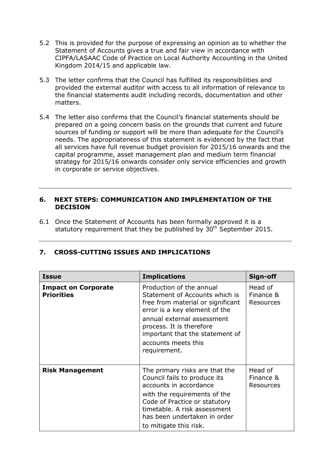- 5.2 This is provided for the purpose of expressing an opinion as to whether the Statement of Accounts gives a true and fair view in accordance with CIPFA/LASAAC Code of Practice on Local Authority Accounting in the United Kingdom 2014/15 and applicable law.
- 5.3 The letter confirms that the Council has fulfilled its responsibilities and provided the external auditor with access to all information of relevance to the financial statements audit including records, documentation and other matters.
- 5.4 The letter also confirms that the Council's financial statements should be prepared on a going concern basis on the grounds that current and future sources of funding or support will be more than adequate for the Council's needs. The appropriateness of this statement is evidenced by the fact that all services have full revenue budget provision for 2015/16 onwards and the capital programme, asset management plan and medium term financial strategy for 2015/16 onwards consider only service efficiencies and growth in corporate or service objectives.

#### **6. NEXT STEPS: COMMUNICATION AND IMPLEMENTATION OF THE DECISION**

6.1 Once the Statement of Accounts has been formally approved it is a statutory requirement that they be published by  $30<sup>th</sup>$  September 2015.

| <b>Issue</b>                                    | <b>Implications</b>                                                                                                                                                                                                                                                  | Sign-off                                 |
|-------------------------------------------------|----------------------------------------------------------------------------------------------------------------------------------------------------------------------------------------------------------------------------------------------------------------------|------------------------------------------|
| <b>Impact on Corporate</b><br><b>Priorities</b> | Production of the annual<br>Statement of Accounts which is<br>free from material or significant<br>error is a key element of the<br>annual external assessment<br>process. It is therefore<br>important that the statement of<br>accounts meets this<br>requirement. | Head of<br>Finance &<br><b>Resources</b> |
| <b>Risk Management</b>                          | The primary risks are that the<br>Council fails to produce its<br>accounts in accordance<br>with the requirements of the<br>Code of Practice or statutory<br>timetable. A risk assessment<br>has been undertaken in order<br>to mitigate this risk.                  | Head of<br>Finance &<br><b>Resources</b> |

## **7. CROSS-CUTTING ISSUES AND IMPLICATIONS**